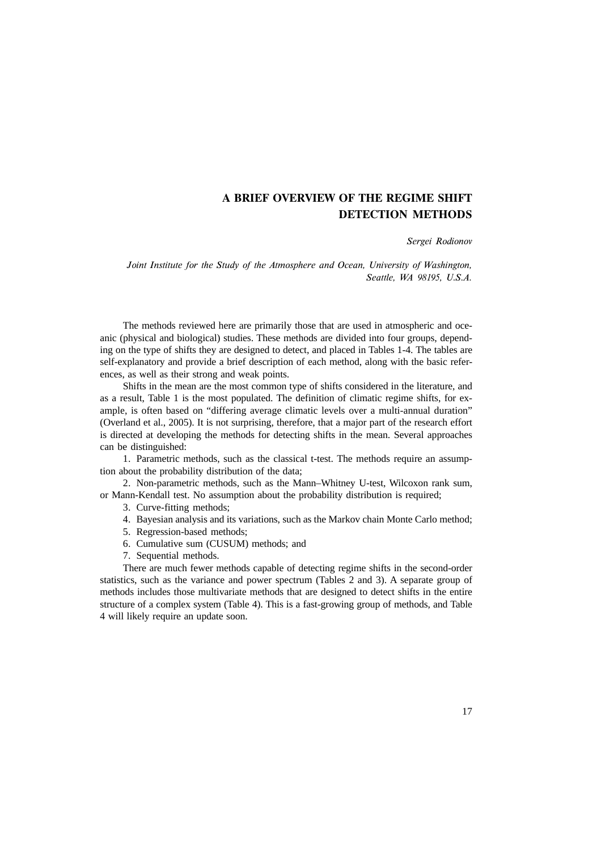#### Sergei Rodionov

Joint Institute for the Study of the Atmosphere and Ocean, University of Washington, Seattle, WA 98195, U.S.A.

The methods reviewed here are primarily those that are used in atmospheric and oceanic (physical and biological) studies. These methods are divided into four groups, depending on the type of shifts they are designed to detect, and placed in Tables 1-4. The tables are self-explanatory and provide a brief description of each method, along with the basic references, as well as their strong and weak points.

Shifts in the mean are the most common type of shifts considered in the literature, and as a result, Table 1 is the most populated. The definition of climatic regime shifts, for example, is often based on "differing average climatic levels over a multi-annual duration" (Overland et al., 2005). It is not surprising, therefore, that a major part of the research effort is directed at developing the methods for detecting shifts in the mean. Several approaches can be distinguished:

1. Parametric methods, such as the classical t-test. The methods require an assumption about the probability distribution of the data;

2. Non-parametric methods, such as the Mann–Whitney U-test, Wilcoxon rank sum, or Mann-Kendall test. No assumption about the probability distribution is required;

3. Curve-fitting methods;

4. Bayesian analysis and its variations, such as the Markov chain Monte Carlo method;

5. Regression-based methods;

6. Cumulative sum (CUSUM) methods; and

7. Sequential methods.

There are much fewer methods capable of detecting regime shifts in the second-order statistics, such as the variance and power spectrum (Tables 2 and 3). A separate group of methods includes those multivariate methods that are designed to detect shifts in the entire structure of a complex system (Table 4). This is a fast-growing group of methods, and Table 4 will likely require an update soon.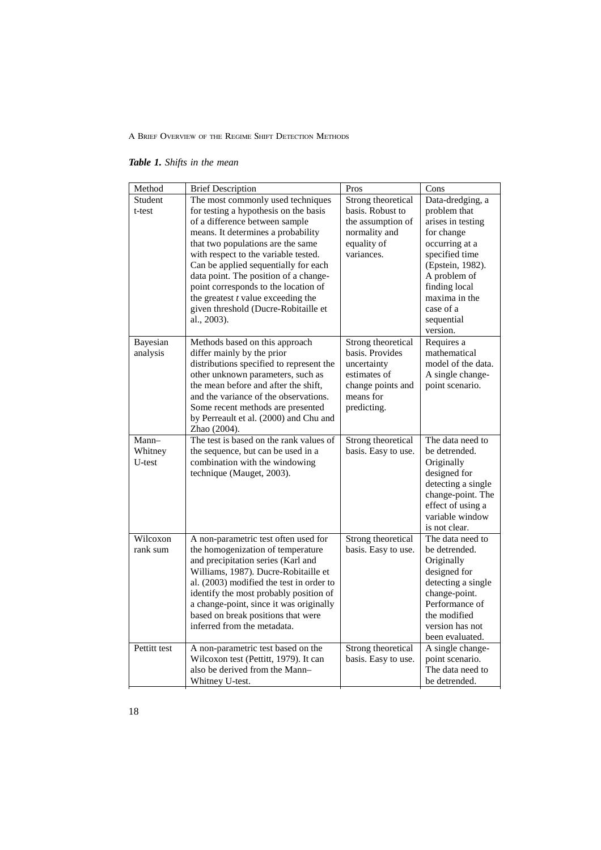*Table 1. Shifts in the mean*

| Method                     | <b>Brief Description</b>                                                                                                                                                                                                                                                                                                                                                                                                                                | Pros                                                                                                                  | Cons                                                                                                                                                                                                                 |
|----------------------------|---------------------------------------------------------------------------------------------------------------------------------------------------------------------------------------------------------------------------------------------------------------------------------------------------------------------------------------------------------------------------------------------------------------------------------------------------------|-----------------------------------------------------------------------------------------------------------------------|----------------------------------------------------------------------------------------------------------------------------------------------------------------------------------------------------------------------|
| Student<br>t-test          | The most commonly used techniques<br>for testing a hypothesis on the basis<br>of a difference between sample<br>means. It determines a probability<br>that two populations are the same<br>with respect to the variable tested.<br>Can be applied sequentially for each<br>data point. The position of a change-<br>point corresponds to the location of<br>the greatest $t$ value exceeding the<br>given threshold (Ducre-Robitaille et<br>al., 2003). | Strong theoretical<br>basis. Robust to<br>the assumption of<br>normality and<br>equality of<br>variances.             | Data-dredging, a<br>problem that<br>arises in testing<br>for change<br>occurring at a<br>specified time<br>(Epstein, 1982).<br>A problem of<br>finding local<br>maxima in the<br>case of a<br>sequential<br>version. |
| Bayesian<br>analysis       | Methods based on this approach<br>differ mainly by the prior<br>distributions specified to represent the<br>other unknown parameters, such as<br>the mean before and after the shift,<br>and the variance of the observations.<br>Some recent methods are presented<br>by Perreault et al. (2000) and Chu and<br>Zhao (2004).                                                                                                                           | Strong theoretical<br>basis. Provides<br>uncertainty<br>estimates of<br>change points and<br>means for<br>predicting. | Requires a<br>mathematical<br>model of the data.<br>A single change-<br>point scenario.                                                                                                                              |
| Mann-<br>Whitney<br>U-test | The test is based on the rank values of<br>the sequence, but can be used in a<br>combination with the windowing<br>technique (Mauget, 2003).                                                                                                                                                                                                                                                                                                            | Strong theoretical<br>basis. Easy to use.                                                                             | The data need to<br>be detrended.<br>Originally<br>designed for<br>detecting a single<br>change-point. The<br>effect of using a<br>variable window<br>is not clear.                                                  |
| Wilcoxon<br>rank sum       | A non-parametric test often used for<br>the homogenization of temperature<br>and precipitation series (Karl and<br>Williams, 1987). Ducre-Robitaille et<br>al. (2003) modified the test in order to<br>identify the most probably position of<br>a change-point, since it was originally<br>based on break positions that were<br>inferred from the metadata.                                                                                           | Strong theoretical<br>basis. Easy to use.                                                                             | The data need to<br>be detrended.<br>Originally<br>designed for<br>detecting a single<br>change-point.<br>Performance of<br>the modified<br>version has not<br>been evaluated.                                       |
| Pettitt test               | A non-parametric test based on the<br>Wilcoxon test (Pettitt, 1979). It can<br>also be derived from the Mann-<br>Whitney U-test.                                                                                                                                                                                                                                                                                                                        | Strong theoretical<br>basis. Easy to use.                                                                             | A single change-<br>point scenario.<br>The data need to<br>be detrended.                                                                                                                                             |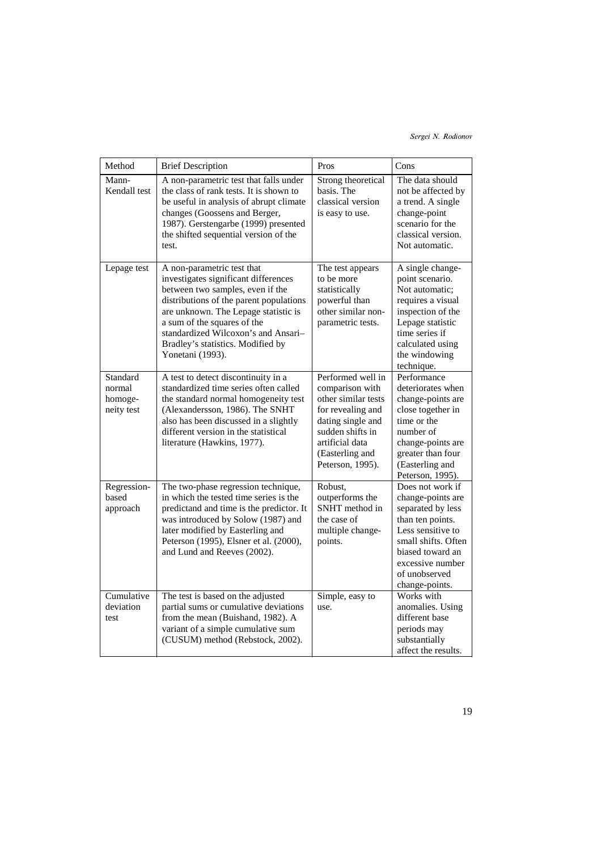## Sergei N. Rodionov

| Method                                      | <b>Brief Description</b>                                                                                                                                                                                                                                                                                                 | Pros                                                                                                                                                                                | Cons                                                                                                                                                                                                  |
|---------------------------------------------|--------------------------------------------------------------------------------------------------------------------------------------------------------------------------------------------------------------------------------------------------------------------------------------------------------------------------|-------------------------------------------------------------------------------------------------------------------------------------------------------------------------------------|-------------------------------------------------------------------------------------------------------------------------------------------------------------------------------------------------------|
| Mann-<br>Kendall test                       | A non-parametric test that falls under<br>the class of rank tests. It is shown to<br>be useful in analysis of abrupt climate<br>changes (Goossens and Berger,<br>1987). Gerstengarbe (1999) presented<br>the shifted sequential version of the<br>test.                                                                  | Strong theoretical<br>basis. The<br>classical version<br>is easy to use.                                                                                                            | The data should<br>not be affected by<br>a trend. A single<br>change-point<br>scenario for the<br>classical version.<br>Not automatic.                                                                |
| Lepage test                                 | A non-parametric test that<br>investigates significant differences<br>between two samples, even if the<br>distributions of the parent populations<br>are unknown. The Lepage statistic is<br>a sum of the squares of the<br>standardized Wilcoxon's and Ansari-<br>Bradley's statistics. Modified by<br>Yonetani (1993). | The test appears<br>to be more<br>statistically<br>powerful than<br>other similar non-<br>parametric tests.                                                                         | A single change-<br>point scenario.<br>Not automatic:<br>requires a visual<br>inspection of the<br>Lepage statistic<br>time series if<br>calculated using<br>the windowing<br>technique.              |
| Standard<br>normal<br>homoge-<br>neity test | A test to detect discontinuity in a<br>standardized time series often called<br>the standard normal homogeneity test<br>(Alexandersson, 1986). The SNHT<br>also has been discussed in a slightly<br>different version in the statistical<br>literature (Hawkins, 1977).                                                  | Performed well in<br>comparison with<br>other similar tests<br>for revealing and<br>dating single and<br>sudden shifts in<br>artificial data<br>(Easterling and<br>Peterson, 1995). | Performance<br>deteriorates when<br>change-points are<br>close together in<br>time or the<br>number of<br>change-points are<br>greater than four<br>(Easterling and<br>Peterson, 1995).               |
| Regression-<br>based<br>approach            | The two-phase regression technique,<br>in which the tested time series is the<br>predictand and time is the predictor. It<br>was introduced by Solow (1987) and<br>later modified by Easterling and<br>Peterson (1995), Elsner et al. (2000),<br>and Lund and Reeves (2002).                                             | Robust,<br>outperforms the<br>SNHT method in<br>the case of<br>multiple change-<br>points.                                                                                          | Does not work if<br>change-points are<br>separated by less<br>than ten points.<br>Less sensitive to<br>small shifts. Often<br>biased toward an<br>excessive number<br>of unobserved<br>change-points. |
| Cumulative<br>deviation<br>test             | The test is based on the adjusted<br>partial sums or cumulative deviations<br>from the mean (Buishand, 1982). A<br>variant of a simple cumulative sum<br>(CUSUM) method (Rebstock, 2002).                                                                                                                                | Simple, easy to<br>use.                                                                                                                                                             | Works with<br>anomalies. Using<br>different base<br>periods may<br>substantially<br>affect the results.                                                                                               |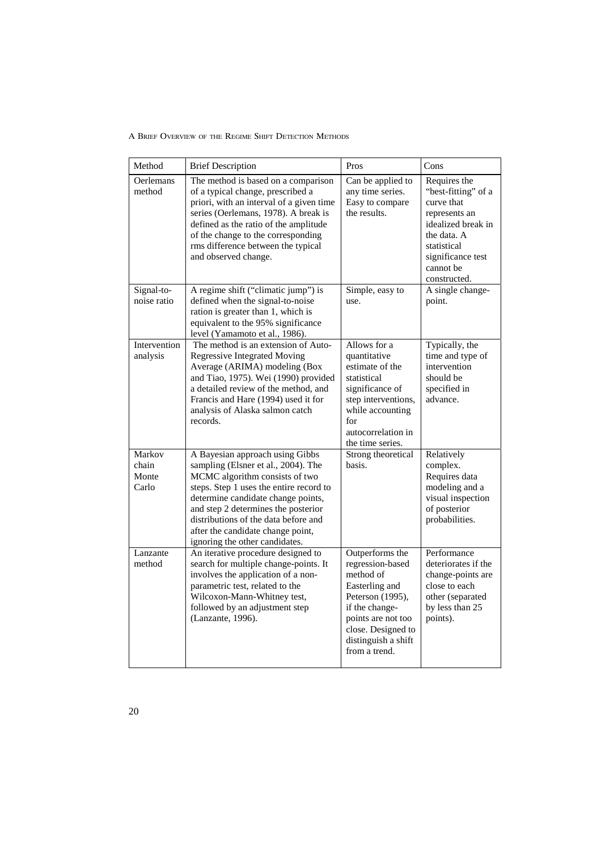| Method                            | <b>Brief Description</b>                                                                                                                                                                                                                                                                                                                        | Pros                                                                                                                                                                                         | Cons                                                                                                                                                                     |
|-----------------------------------|-------------------------------------------------------------------------------------------------------------------------------------------------------------------------------------------------------------------------------------------------------------------------------------------------------------------------------------------------|----------------------------------------------------------------------------------------------------------------------------------------------------------------------------------------------|--------------------------------------------------------------------------------------------------------------------------------------------------------------------------|
| <b>Oerlemans</b><br>method        | The method is based on a comparison<br>of a typical change, prescribed a<br>priori, with an interval of a given time<br>series (Oerlemans, 1978). A break is<br>defined as the ratio of the amplitude<br>of the change to the corresponding<br>rms difference between the typical<br>and observed change.                                       | Can be applied to<br>any time series.<br>Easy to compare<br>the results.                                                                                                                     | Requires the<br>"best-fitting" of a<br>curve that<br>represents an<br>idealized break in<br>the data. A<br>statistical<br>significance test<br>cannot be<br>constructed. |
| Signal-to-<br>noise ratio         | A regime shift ("climatic jump") is<br>defined when the signal-to-noise<br>ration is greater than 1, which is<br>equivalent to the 95% significance<br>level (Yamamoto et al., 1986).                                                                                                                                                           | Simple, easy to<br>use.                                                                                                                                                                      | A single change-<br>point.                                                                                                                                               |
| Intervention<br>analysis          | The method is an extension of Auto-<br><b>Regressive Integrated Moving</b><br>Average (ARIMA) modeling (Box<br>and Tiao, 1975). Wei (1990) provided<br>a detailed review of the method, and<br>Francis and Hare (1994) used it for<br>analysis of Alaska salmon catch<br>records.                                                               | Allows for a<br>quantitative<br>estimate of the<br>statistical<br>significance of<br>step interventions,<br>while accounting<br>for<br>autocorrelation in<br>the time series.                | Typically, the<br>time and type of<br>intervention<br>should be<br>specified in<br>advance.                                                                              |
| Markov<br>chain<br>Monte<br>Carlo | A Bayesian approach using Gibbs<br>sampling (Elsner et al., 2004). The<br>MCMC algorithm consists of two<br>steps. Step 1 uses the entire record to<br>determine candidate change points,<br>and step 2 determines the posterior<br>distributions of the data before and<br>after the candidate change point,<br>ignoring the other candidates. | Strong theoretical<br>basis.                                                                                                                                                                 | Relatively<br>complex.<br>Requires data<br>modeling and a<br>visual inspection<br>of posterior<br>probabilities.                                                         |
| Lanzante<br>method                | An iterative procedure designed to<br>search for multiple change-points. It<br>involves the application of a non-<br>parametric test, related to the<br>Wilcoxon-Mann-Whitney test,<br>followed by an adjustment step<br>(Lanzante, 1996).                                                                                                      | Outperforms the<br>regression-based<br>method of<br>Easterling and<br>Peterson (1995),<br>if the change-<br>points are not too<br>close. Designed to<br>distinguish a shift<br>from a trend. | Performance<br>deteriorates if the<br>change-points are<br>close to each<br>other (separated<br>by less than 25<br>points).                                              |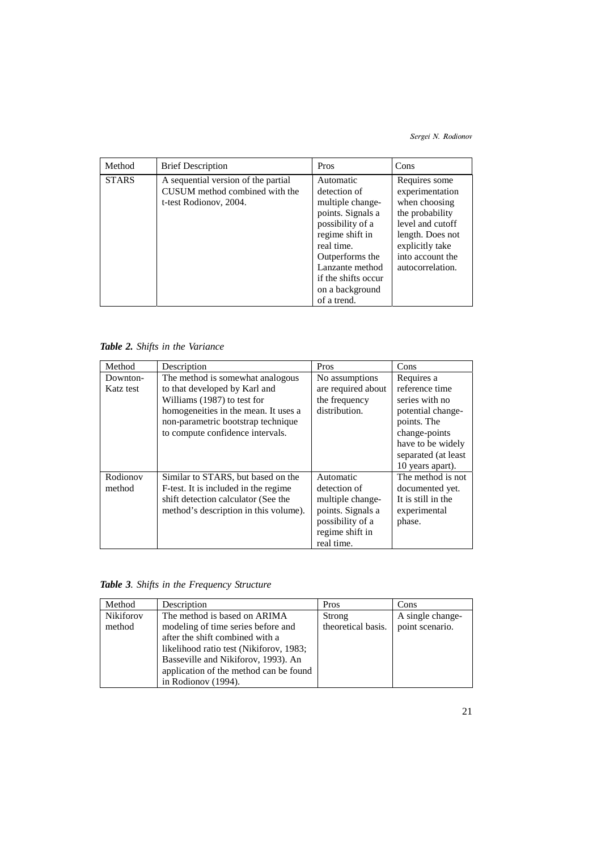## Sergei N. Rodionov

| Method       | <b>Brief Description</b>                                                                        | Pros                                                                                                                                                                                                                   | Cons                                                                                                                                                                    |
|--------------|-------------------------------------------------------------------------------------------------|------------------------------------------------------------------------------------------------------------------------------------------------------------------------------------------------------------------------|-------------------------------------------------------------------------------------------------------------------------------------------------------------------------|
| <b>STARS</b> | A sequential version of the partial<br>CUSUM method combined with the<br>t-test Rodionov, 2004. | Automatic<br>detection of<br>multiple change-<br>points. Signals a<br>possibility of a<br>regime shift in<br>real time.<br>Outperforms the<br>Lanzante method<br>if the shifts occur<br>on a background<br>of a trend. | Requires some<br>experimentation<br>when choosing<br>the probability<br>level and cutoff<br>length. Does not<br>explicitly take<br>into account the<br>autocorrelation. |

*Table 2. Shifts in the Variance*

| Method    | Description                           | Pros               | Cons                |
|-----------|---------------------------------------|--------------------|---------------------|
| Downton-  | The method is somewhat analogous      | No assumptions     | Requires a          |
| Katz test | to that developed by Karl and         | are required about | reference time      |
|           | Williams (1987) to test for           | the frequency      | series with no      |
|           | homogeneities in the mean. It uses a  | distribution.      | potential change-   |
|           | non-parametric bootstrap technique    |                    | points. The         |
|           | to compute confidence intervals.      |                    | change-points       |
|           |                                       |                    | have to be widely   |
|           |                                       |                    | separated (at least |
|           |                                       |                    | 10 years apart).    |
| Rodionov  | Similar to STARS, but based on the    | Automatic          | The method is not   |
| method    | F-test. It is included in the regime  | detection of       | documented yet.     |
|           | shift detection calculator (See the   | multiple change-   | It is still in the  |
|           | method's description in this volume). | points. Signals a  | experimental        |
|           |                                       | possibility of a   | phase.              |
|           |                                       | regime shift in    |                     |
|           |                                       | real time.         |                     |

*Table 3. Shifts in the Frequency Structure*

| Method           | Description                             | Pros               | Cons             |
|------------------|-----------------------------------------|--------------------|------------------|
| <b>Nikiforov</b> | The method is based on ARIMA            | Strong             | A single change- |
| method           | modeling of time series before and      | theoretical basis. | point scenario.  |
|                  | after the shift combined with a         |                    |                  |
|                  | likelihood ratio test (Nikiforov, 1983; |                    |                  |
|                  | Basseville and Nikiforov, 1993). An     |                    |                  |
|                  | application of the method can be found  |                    |                  |
|                  | in Rodionov (1994).                     |                    |                  |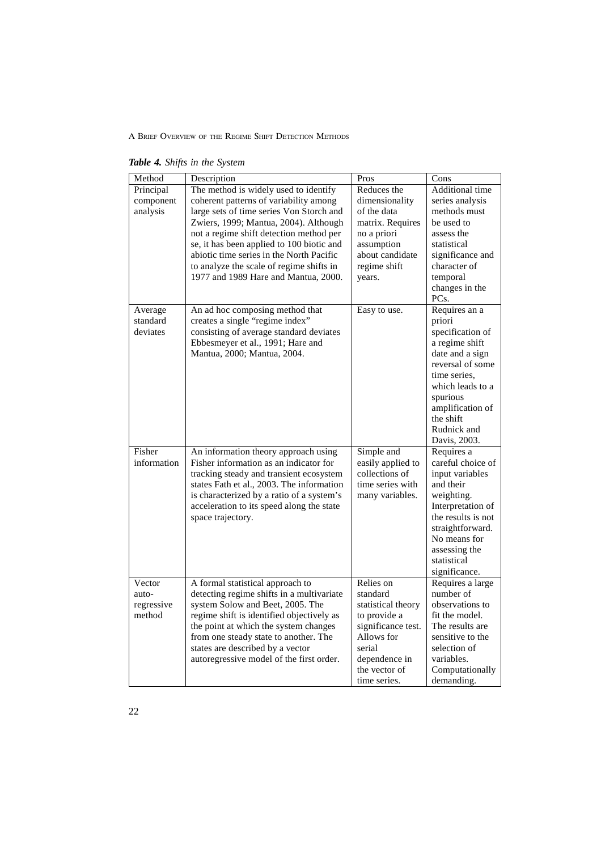*Table 4. Shifts in the System*

| Method      | Description                               | Pros               | Cons               |
|-------------|-------------------------------------------|--------------------|--------------------|
| Principal   | The method is widely used to identify     | Reduces the        | Additional time    |
| component   | coherent patterns of variability among    | dimensionality     | series analysis    |
| analysis    | large sets of time series Von Storch and  | of the data        | methods must       |
|             | Zwiers, 1999; Mantua, 2004). Although     | matrix. Requires   | be used to         |
|             | not a regime shift detection method per   | no a priori        | assess the         |
|             | se, it has been applied to 100 biotic and | assumption         | statistical        |
|             | abiotic time series in the North Pacific  | about candidate    | significance and   |
|             | to analyze the scale of regime shifts in  | regime shift       | character of       |
|             | 1977 and 1989 Hare and Mantua, 2000.      | years.             | temporal           |
|             |                                           |                    | changes in the     |
|             |                                           |                    | PCs.               |
| Average     | An ad hoc composing method that           | Easy to use.       | Requires an a      |
| standard    | creates a single "regime index"           |                    | priori             |
| deviates    | consisting of average standard deviates   |                    | specification of   |
|             | Ebbesmeyer et al., 1991; Hare and         |                    | a regime shift     |
|             | Mantua, 2000; Mantua, 2004.               |                    | date and a sign    |
|             |                                           |                    | reversal of some   |
|             |                                           |                    | time series,       |
|             |                                           |                    | which leads to a   |
|             |                                           |                    | spurious           |
|             |                                           |                    | amplification of   |
|             |                                           |                    | the shift          |
|             |                                           |                    | Rudnick and        |
|             |                                           |                    | Davis, 2003.       |
| Fisher      | An information theory approach using      | Simple and         | Requires a         |
| information | Fisher information as an indicator for    | easily applied to  | careful choice of  |
|             | tracking steady and transient ecosystem   | collections of     | input variables    |
|             | states Fath et al., 2003. The information | time series with   | and their          |
|             | is characterized by a ratio of a system's | many variables.    | weighting.         |
|             | acceleration to its speed along the state |                    | Interpretation of  |
|             | space trajectory.                         |                    | the results is not |
|             |                                           |                    | straightforward.   |
|             |                                           |                    | No means for       |
|             |                                           |                    | assessing the      |
|             |                                           |                    | statistical        |
|             |                                           |                    | significance.      |
| Vector      | A formal statistical approach to          | Relies on          | Requires a large   |
| auto-       | detecting regime shifts in a multivariate | standard           | number of          |
| regressive  | system Solow and Beet, 2005. The          | statistical theory | observations to    |
| method      | regime shift is identified objectively as | to provide a       | fit the model.     |
|             | the point at which the system changes     | significance test. | The results are    |
|             | from one steady state to another. The     | Allows for         | sensitive to the   |
|             | states are described by a vector          | serial             | selection of       |
|             | autoregressive model of the first order.  | dependence in      | variables.         |
|             |                                           | the vector of      | Computationally    |
|             |                                           | time series.       | demanding.         |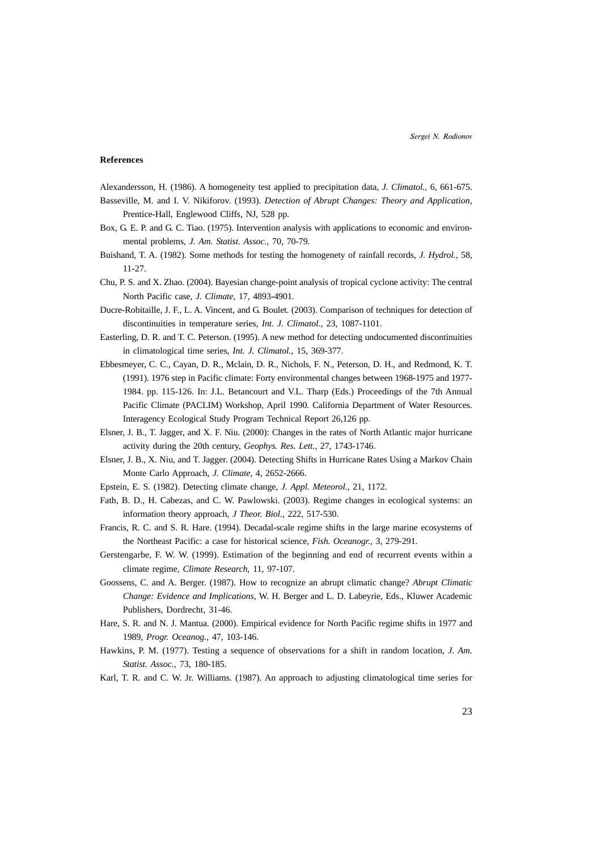#### **References**

Alexandersson, H. (1986). A homogeneity test applied to precipitation data, *J. Climatol.,* 6, 661-675.

- Basseville, M. and I. V. Nikiforov. (1993). *Detection of Abrupt Changes: Theory and Application*, Prentice-Hall, Englewood Cliffs, NJ, 528 pp.
- Box, G. E. P. and G. C. Tiao. (1975). Intervention analysis with applications to economic and environmental problems, *J. Am. Statist. Assoc.,* 70, 70-79.
- Buishand, T. A. (1982). Some methods for testing the homogenety of rainfall records, *J. Hydrol.,* 58, 11-27.
- Chu, P. S. and X. Zhao. (2004). Bayesian change-point analysis of tropical cyclone activity: The central North Pacific case, *J. Climate,* 17, 4893-4901.
- Ducre-Robitaille, J. F., L. A. Vincent, and G. Boulet. (2003). Comparison of techniques for detection of discontinuities in temperature series, *Int. J. Climatol.,* 23, 1087-1101.
- Easterling, D. R. and T. C. Peterson. (1995). A new method for detecting undocumented discontinuities in climatological time series, *Int. J. Climatol.,* 15, 369-377.
- Ebbesmeyer, C. C., Cayan, D. R., Mclain, D. R., Nichols, F. N., Peterson, D. H., and Redmond, K. T. (1991). 1976 step in Pacific climate: Forty environmental changes between 1968-1975 and 1977- 1984. pp. 115-126. In: J.L. Betancourt and V.L. Tharp (Eds.) Proceedings of the 7th Annual Pacific Climate (PACLIM) Workshop, April 1990. California Department of Water Resources. Interagency Ecological Study Program Technical Report 26,126 pp.
- Elsner, J. B., T. Jagger, and X. F. Niu. (2000): Changes in the rates of North Atlantic major hurricane activity during the 20th century, *Geophys. Res. Lett.,* 27, 1743-1746.
- Elsner, J. B., X. Niu, and T. Jagger. (2004). Detecting Shifts in Hurricane Rates Using a Markov Chain Monte Carlo Approach, *J. Climate,* 4, 2652-2666.
- Epstein, E. S. (1982). Detecting climate change, *J. Appl. Meteorol.,* 21, 1172.
- Fath, B. D., H. Cabezas, and C. W. Pawlowski. (2003). Regime changes in ecological systems: an information theory approach, *J Theor. Biol.,* 222, 517-530.
- Francis, R. C. and S. R. Hare. (1994). Decadal-scale regime shifts in the large marine ecosystems of the Northeast Pacific: a case for historical science, *Fish. Oceanogr.,* 3, 279-291.
- Gerstengarbe, F. W. W. (1999). Estimation of the beginning and end of recurrent events within a climate regime, *Climate Research,* 11, 97-107.
- Goossens, C. and A. Berger. (1987). How to recognize an abrupt climatic change? *Abrupt Climatic Change: Evidence and Implications*, W. H. Berger and L. D. Labeyrie, Eds., Kluwer Academic Publishers, Dordrecht, 31-46.
- Hare, S. R. and N. J. Mantua. (2000). Empirical evidence for North Pacific regime shifts in 1977 and 1989, *Progr. Oceanog.,* 47, 103-146.
- Hawkins, P. M. (1977). Testing a sequence of observations for a shift in random location, *J. Am. Statist. Assoc.,* 73, 180-185.
- Karl, T. R. and C. W. Jr. Williams. (1987). An approach to adjusting climatological time series for